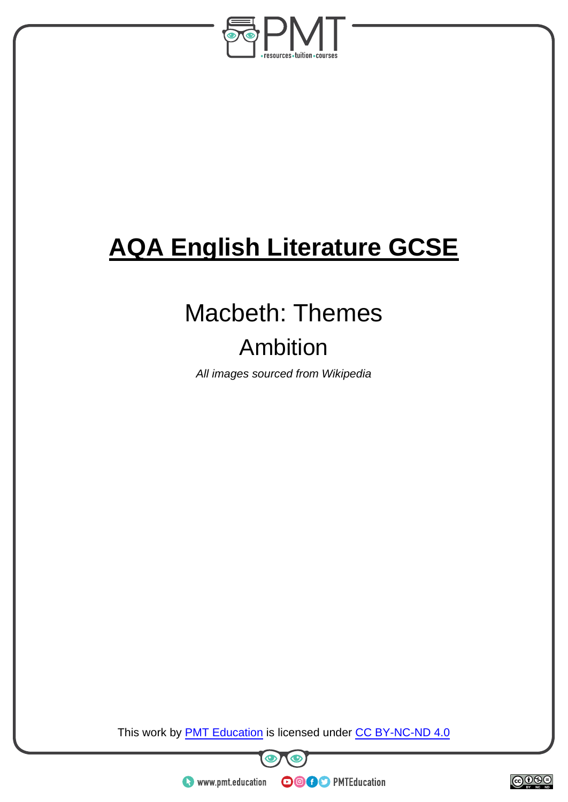

# **AQA English Literature GCSE**

# Macbeth: Themes

# Ambition

*All images sourced from Wikipedia* 

This work by **PMT Education** is licensed under CC BY-NC-ND 4.0





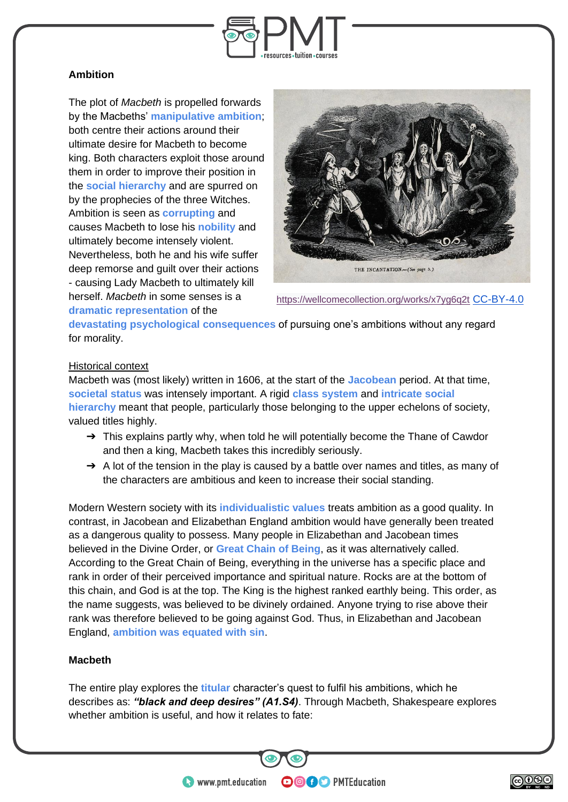

## **Ambition**

The plot of *Macbeth* is propelled forwards by the Macbeths' **manipulative ambition**; both centre their actions around their ultimate desire for Macbeth to become king. Both characters exploit those around them in order to improve their position in the **social hierarchy** and are spurred on by the prophecies of the three Witches. Ambition is seen as **corrupting** and causes Macbeth to lose his **nobility** and ultimately become intensely violent. Nevertheless, both he and his wife suffer deep remorse and guilt over their actions - causing Lady Macbeth to ultimately kill herself. *Macbeth* in some senses is a **dramatic representation** of the



```
https://wellcomecollection.org/works/x7yg6q2t CC-BY-4.0
```
**devastating psychological consequences** of pursuing one's ambitions without any regard for morality.

## Historical context

Macbeth was (most likely) written in 1606, at the start of the **Jacobean** period. At that time, **societal status** was intensely important. A rigid **class system** and **intricate social hierarchy** meant that people, particularly those belonging to the upper echelons of society, valued titles highly.

- $\rightarrow$  This explains partly why, when told he will potentially become the Thane of Cawdor and then a king, Macbeth takes this incredibly seriously.
- $\rightarrow$  A lot of the tension in the play is caused by a battle over names and titles, as many of the characters are ambitious and keen to increase their social standing.

Modern Western society with its **individualistic values** treats ambition as a good quality. In contrast, in Jacobean and Elizabethan England ambition would have generally been treated as a dangerous quality to possess. Many people in Elizabethan and Jacobean times believed in the Divine Order, or **Great Chain of Being**, as it was alternatively called. According to the Great Chain of Being, everything in the universe has a specific place and rank in order of their perceived importance and spiritual nature. Rocks are at the bottom of this chain, and God is at the top. The King is the highest ranked earthly being. This order, as the name suggests, was believed to be divinely ordained. Anyone trying to rise above their rank was therefore believed to be going against God. Thus, in Elizabethan and Jacobean England, **ambition was equated with sin**.

# **Macbeth**

The entire play explores the **titular** character's quest to fulfil his ambitions, which he describes as: *"black and deep desires" (A1.S4)*. Through Macbeth, Shakespeare explores whether ambition is useful, and how it relates to fate:

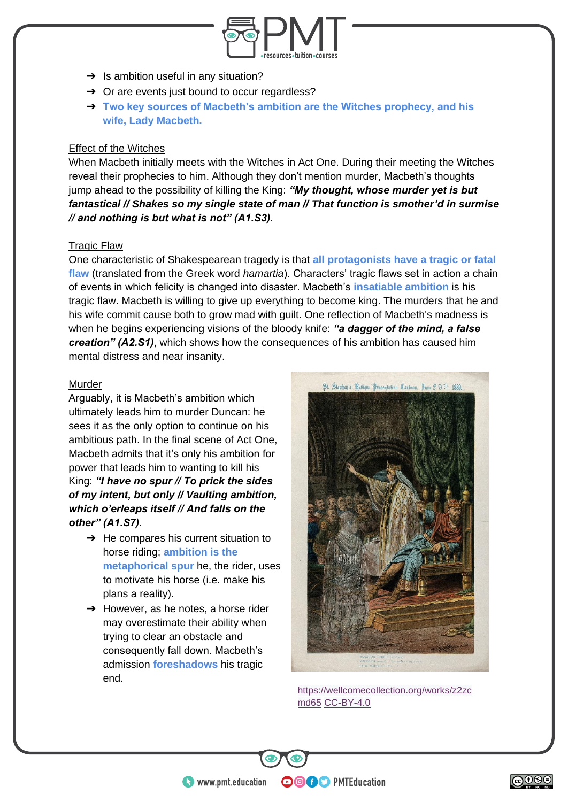

- $\rightarrow$  Is ambition useful in any situation?
- **→** Or are events just bound to occur regardless?
- ➔ **Two key sources of Macbeth's ambition are the Witches prophecy, and his wife, Lady Macbeth.**

#### Effect of the Witches

When Macbeth initially meets with the Witches in Act One. During their meeting the Witches reveal their prophecies to him. Although they don't mention murder, Macbeth's thoughts jump ahead to the possibility of killing the King: *"My thought, whose murder yet is but fantastical // Shakes so my single state of man // That function is smother'd in surmise // and nothing is but what is not" (A1.S3)*.

## Tragic Flaw

One characteristic of Shakespearean tragedy is that **all protagonists have a tragic or fatal flaw** (translated from the Greek word *hamartia*). Characters' tragic flaws set in action a chain of events in which felicity is changed into disaster. Macbeth's **insatiable ambition** is his tragic flaw. Macbeth is willing to give up everything to become king. The murders that he and his wife commit cause both to grow mad with guilt. One reflection of Macbeth's madness is when he begins experiencing visions of the bloody knife: *"a dagger of the mind, a false creation" (A2.S1)*, which shows how the consequences of his ambition has caused him mental distress and near insanity.

## Murder

Arguably, it is Macbeth's ambition which ultimately leads him to murder Duncan: he sees it as the only option to continue on his ambitious path. In the final scene of Act One, Macbeth admits that it's only his ambition for power that leads him to wanting to kill his King: *"I have no spur // To prick the sides of my intent, but only // Vaulting ambition, which o'erleaps itself // And falls on the other" (A1.S7)*.

- $\rightarrow$  He compares his current situation to horse riding; **ambition is the metaphorical spur** he, the rider, uses to motivate his horse (i.e. make his plans a reality).
- $\rightarrow$  However, as he notes, a horse rider may overestimate their ability when trying to clear an obstacle and consequently fall down. Macbeth's admission **foreshadows** his tragic end.



[https://wellcomecollection.org/works/z2zc](https://wellcomecollection.org/works/z2zcmd65) [md65](https://wellcomecollection.org/works/z2zcmd65) [CC-BY-4.0](https://creativecommons.org/licenses/by/4.0/)

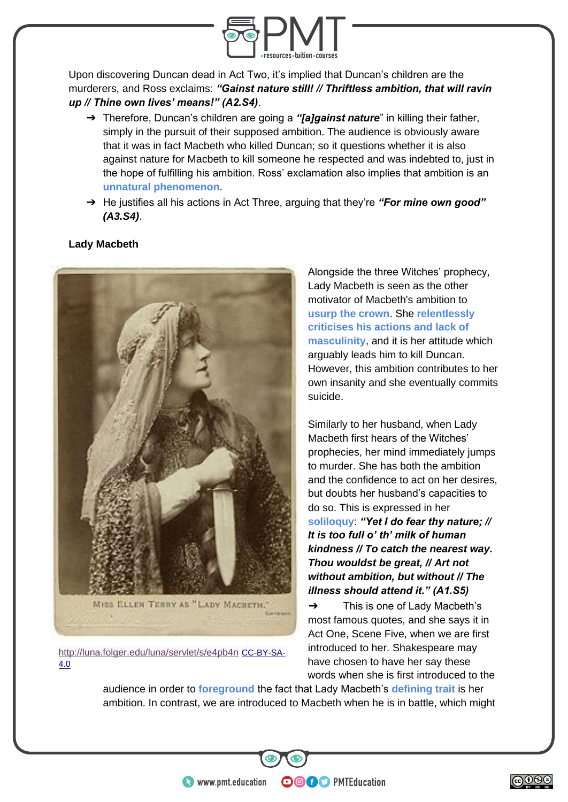

Upon discovering Duncan dead in Act Two, it's implied that Duncan's children are the murderers, and Ross exclaims: *"Gainst nature still! // Thriftless ambition, that will ravin up // Thine own lives' means!" (A2.S4)*.

- ➔ Therefore, Duncan's children are going a *"[a]gainst nature*" in killing their father, simply in the pursuit of their supposed ambition. The audience is obviously aware that it was in fact Macbeth who killed Duncan; so it questions whether it is also against nature for Macbeth to kill someone he respected and was indebted to, just in the hope of fulfilling his ambition. Ross' exclamation also implies that ambition is an **unnatural phenomenon**.
- ➔ He justifies all his actions in Act Three, arguing that they're *"For mine own good" (A3.S4)*.





<http://luna.folger.edu/luna/servlet/s/e4pb4n> [CC-BY-SA-](https://commons.wikimedia.org/wiki/Category:CC-BY-SA-4.0)[4.0](https://commons.wikimedia.org/wiki/Category:CC-BY-SA-4.0)

Alongside the three Witches' prophecy, Lady Macbeth is seen as the other motivator of Macbeth's ambition to **usurp the crown**. She **relentlessly criticises his actions and lack of masculinity**, and it is her attitude which arguably leads him to kill Duncan. However, this ambition contributes to her own insanity and she eventually commits suicide.

Similarly to her husband, when Lady Macbeth first hears of the Witches' prophecies, her mind immediately jumps to murder. She has both the ambition and the confidence to act on her desires, but doubts her husband's capacities to do so. This is expressed in her **soliloquy**: *"Yet I do fear thy nature; // It is too full o' th' milk of human kindness // To catch the nearest way. Thou wouldst be great, // Art not without ambition, but without // The illness should attend it." (A1.S5)*

 $\rightarrow$  This is one of Lady Macbeth's most famous quotes, and she says it in Act One, Scene Five, when we are first introduced to her. Shakespeare may have chosen to have her say these words when she is first introduced to the

audience in order to **foreground** the fact that Lady Macbeth's **defining trait** is her ambition. In contrast, we are introduced to Macbeth when he is in battle, which might

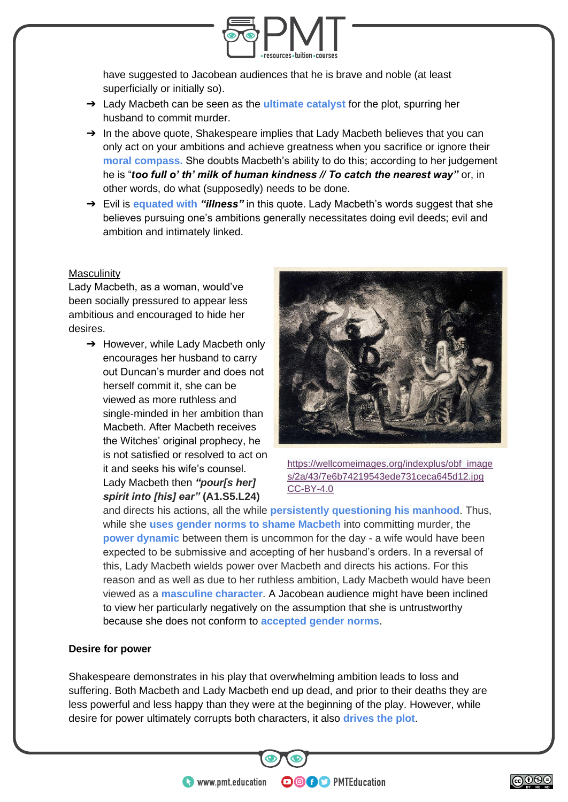

have suggested to Jacobean audiences that he is brave and noble (at least superficially or initially so).

- ➔ Lady Macbeth can be seen as the **ultimate catalyst** for the plot, spurring her husband to commit murder.
- $\rightarrow$  In the above quote, Shakespeare implies that Lady Macbeth believes that you can only act on your ambitions and achieve greatness when you sacrifice or ignore their **moral compass.** She doubts Macbeth's ability to do this; according to her judgement he is "*too full o' th' milk of human kindness // To catch the nearest way"* or, in other words, do what (supposedly) needs to be done.
- ➔ Evil is **equated with** *"illness"* in this quote. Lady Macbeth's words suggest that she believes pursuing one's ambitions generally necessitates doing evil deeds; evil and ambition and intimately linked.

#### **Masculinity**

Lady Macbeth, as a woman, would've been socially pressured to appear less ambitious and encouraged to hide her desires.

 $\rightarrow$  However, while Lady Macbeth only encourages her husband to carry out Duncan's murder and does not herself commit it, she can be viewed as more ruthless and single-minded in her ambition than Macbeth. After Macbeth receives the Witches' original prophecy, he is not satisfied or resolved to act on it and seeks his wife's counsel. Lady Macbeth then *"pour[s her] spirit into [his] ear"* **(A1.S5.L24)**



[https://wellcomeimages.org/indexplus/obf\\_image](https://wellcomeimages.org/indexplus/obf_images/2a/43/7e6b74219543ede731ceca645d12.jpg) [s/2a/43/7e6b74219543ede731ceca645d12.jpg](https://wellcomeimages.org/indexplus/obf_images/2a/43/7e6b74219543ede731ceca645d12.jpg) [CC-BY-4.0](https://creativecommons.org/licenses/by/4.0/)

and directs his actions, all the while **persistently questioning his manhood**. Thus, while she **uses gender norms to shame Macbeth** into committing murder, the **power dynamic** between them is uncommon for the day - a wife would have been expected to be submissive and accepting of her husband's orders. In a reversal of this, Lady Macbeth wields power over Macbeth and directs his actions. For this reason and as well as due to her ruthless ambition, Lady Macbeth would have been viewed as a **masculine character**. A Jacobean audience might have been inclined to view her particularly negatively on the assumption that she is untrustworthy because she does not conform to **accepted gender norms**.

#### **Desire for power**

Shakespeare demonstrates in his play that overwhelming ambition leads to loss and suffering. Both Macbeth and Lady Macbeth end up dead, and prior to their deaths they are less powerful and less happy than they were at the beginning of the play. However, while desire for power ultimately corrupts both characters, it also **drives the plot**.